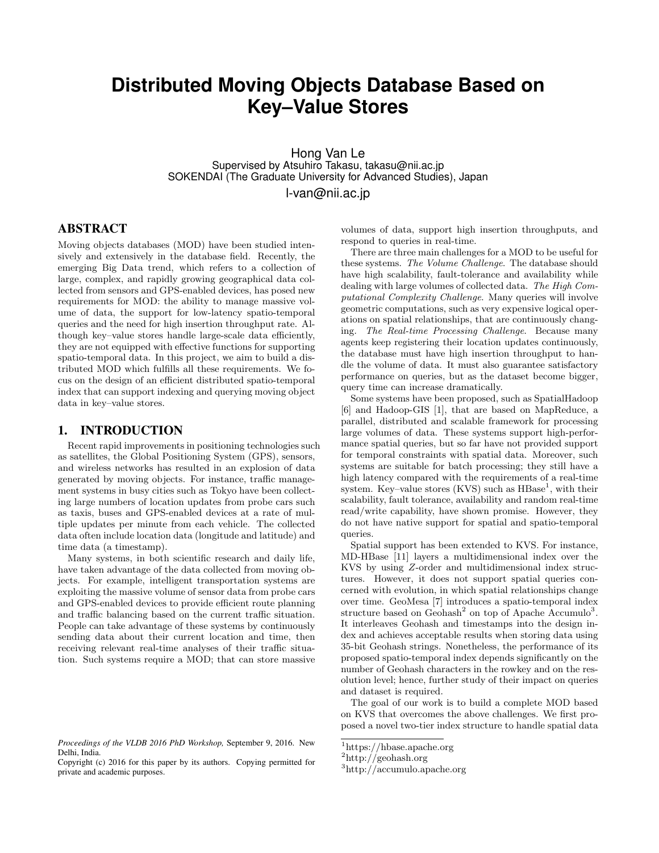# **Distributed Moving Objects Database Based on Key–Value Stores**

Hong Van Le Supervised by Atsuhiro Takasu, takasu@nii.ac.jp SOKENDAI (The Graduate University for Advanced Studies), Japan

l-van@nii.ac.jp

# ABSTRACT

Moving objects databases (MOD) have been studied intensively and extensively in the database field. Recently, the emerging Big Data trend, which refers to a collection of large, complex, and rapidly growing geographical data collected from sensors and GPS-enabled devices, has posed new requirements for MOD: the ability to manage massive volume of data, the support for low-latency spatio-temporal queries and the need for high insertion throughput rate. Although key–value stores handle large-scale data efficiently, they are not equipped with effective functions for supporting spatio-temporal data. In this project, we aim to build a distributed MOD which fulfills all these requirements. We focus on the design of an efficient distributed spatio-temporal index that can support indexing and querying moving object data in key–value stores.

## 1. INTRODUCTION

Recent rapid improvements in positioning technologies such as satellites, the Global Positioning System (GPS), sensors, and wireless networks has resulted in an explosion of data generated by moving objects. For instance, traffic management systems in busy cities such as Tokyo have been collecting large numbers of location updates from probe cars such as taxis, buses and GPS-enabled devices at a rate of multiple updates per minute from each vehicle. The collected data often include location data (longitude and latitude) and time data (a timestamp).

Many systems, in both scientific research and daily life, have taken advantage of the data collected from moving objects. For example, intelligent transportation systems are exploiting the massive volume of sensor data from probe cars and GPS-enabled devices to provide efficient route planning and traffic balancing based on the current traffic situation. People can take advantage of these systems by continuously sending data about their current location and time, then receiving relevant real-time analyses of their traffic situation. Such systems require a MOD; that can store massive volumes of data, support high insertion throughputs, and respond to queries in real-time.

There are three main challenges for a MOD to be useful for these systems. The Volume Challenge. The database should have high scalability, fault-tolerance and availability while dealing with large volumes of collected data. The High Computational Complexity Challenge. Many queries will involve geometric computations, such as very expensive logical operations on spatial relationships, that are continuously changing. The Real-time Processing Challenge. Because many agents keep registering their location updates continuously, the database must have high insertion throughput to handle the volume of data. It must also guarantee satisfactory performance on queries, but as the dataset become bigger, query time can increase dramatically.

Some systems have been proposed, such as SpatialHadoop [6] and Hadoop-GIS [1], that are based on MapReduce, a parallel, distributed and scalable framework for processing large volumes of data. These systems support high-performance spatial queries, but so far have not provided support for temporal constraints with spatial data. Moreover, such systems are suitable for batch processing; they still have a high latency compared with the requirements of a real-time system. Key-value stores  $(KVS)$  such as  $HBase<sup>1</sup>$ , with their scalability, fault tolerance, availability and random real-time read/write capability, have shown promise. However, they do not have native support for spatial and spatio-temporal queries.

Spatial support has been extended to KVS. For instance, MD-HBase [11] layers a multidimensional index over the KVS by using Z-order and multidimensional index structures. However, it does not support spatial queries concerned with evolution, in which spatial relationships change over time. GeoMesa [7] introduces a spatio-temporal index structure based on  $Geohash<sup>2</sup>$  on top of Apache Accumulo<sup>3</sup>. It interleaves Geohash and timestamps into the design index and achieves acceptable results when storing data using 35-bit Geohash strings. Nonetheless, the performance of its proposed spatio-temporal index depends significantly on the number of Geohash characters in the rowkey and on the resolution level; hence, further study of their impact on queries and dataset is required.

The goal of our work is to build a complete MOD based on KVS that overcomes the above challenges. We first proposed a novel two-tier index structure to handle spatial data

*Proceedings of the VLDB 2016 PhD Workshop,* September 9, 2016. New Delhi, India.

Copyright (c) 2016 for this paper by its authors. Copying permitted for private and academic purposes.

<sup>1</sup>https://hbase.apache.org

<sup>2</sup>http://geohash.org

<sup>3</sup>http://accumulo.apache.org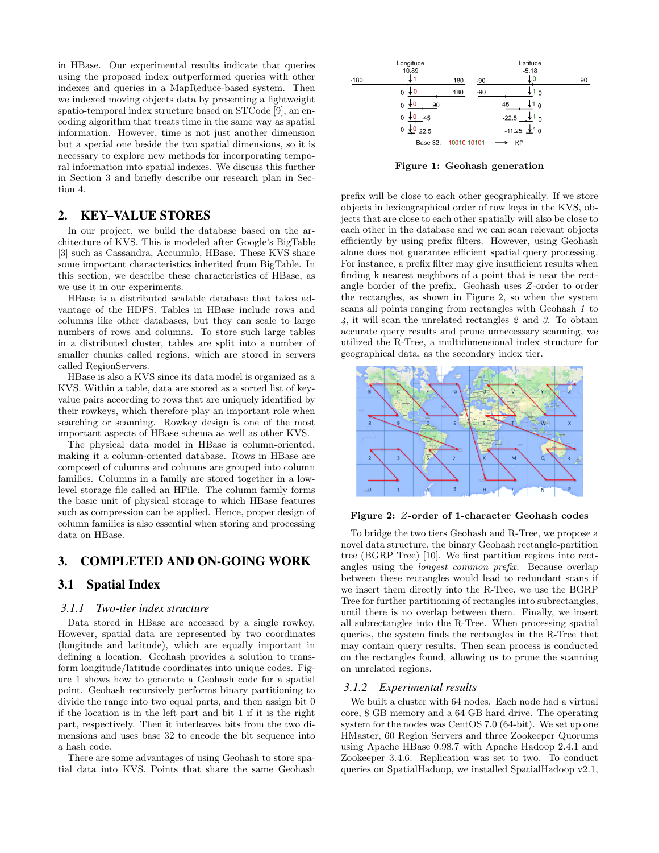in HBase. Our experimental results indicate that queries using the proposed index outperformed queries with other indexes and queries in a MapReduce-based system. Then we indexed moving objects data by presenting a lightweight spatio-temporal index structure based on STCode [9], an encoding algorithm that treats time in the same way as spatial information. However, time is not just another dimension but a special one beside the two spatial dimensions, so it is necessary to explore new methods for incorporating temporal information into spatial indexes. We discuss this further in Section 3 and briefly describe our research plan in Section 4.

## 2. KEY–VALUE STORES

In our project, we build the database based on the architecture of KVS. This is modeled after Google's BigTable [3] such as Cassandra, Accumulo, HBase. These KVS share some important characteristics inherited from BigTable. In this section, we describe these characteristics of HBase, as we use it in our experiments.

HBase is a distributed scalable database that takes advantage of the HDFS. Tables in HBase include rows and columns like other databases, but they can scale to large numbers of rows and columns. To store such large tables in a distributed cluster, tables are split into a number of smaller chunks called regions, which are stored in servers called RegionServers.

HBase is also a KVS since its data model is organized as a KVS. Within a table, data are stored as a sorted list of keyvalue pairs according to rows that are uniquely identified by their rowkeys, which therefore play an important role when searching or scanning. Rowkey design is one of the most important aspects of HBase schema as well as other KVS.

The physical data model in HBase is column-oriented, making it a column-oriented database. Rows in HBase are composed of columns and columns are grouped into column families. Columns in a family are stored together in a lowlevel storage file called an HFile. The column family forms the basic unit of physical storage to which HBase features such as compression can be applied. Hence, proper design of column families is also essential when storing and processing data on HBase.

## 3. COMPLETED AND ON-GOING WORK

## 3.1 Spatial Index

#### *3.1.1 Two-tier index structure*

Data stored in HBase are accessed by a single rowkey. However, spatial data are represented by two coordinates (longitude and latitude), which are equally important in defining a location. Geohash provides a solution to transform longitude/latitude coordinates into unique codes. Figure 1 shows how to generate a Geohash code for a spatial point. Geohash recursively performs binary partitioning to divide the range into two equal parts, and then assign bit 0 if the location is in the left part and bit 1 if it is the right part, respectively. Then it interleaves bits from the two dimensions and uses base 32 to encode the bit sequence into a hash code.

There are some advantages of using Geohash to store spatial data into KVS. Points that share the same Geohash



Figure 1: Geohash generation

prefix will be close to each other geographically. If we store objects in lexicographical order of row keys in the KVS, objects that are close to each other spatially will also be close to each other in the database and we can scan relevant objects efficiently by using prefix filters. However, using Geohash alone does not guarantee efficient spatial query processing. For instance, a prefix filter may give insufficient results when finding k nearest neighbors of a point that is near the rectangle border of the prefix. Geohash uses Z-order to order the rectangles, as shown in Figure 2, so when the system scans all points ranging from rectangles with Geohash 1 to 4, it will scan the unrelated rectangles 2 and 3. To obtain accurate query results and prune unnecessary scanning, we utilized the R-Tree, a multidimensional index structure for geographical data, as the secondary index tier.



Figure 2: Z-order of 1-character Geohash codes

To bridge the two tiers Geohash and R-Tree, we propose a novel data structure, the binary Geohash rectangle-partition tree (BGRP Tree) [10]. We first partition regions into rectangles using the longest common prefix. Because overlap between these rectangles would lead to redundant scans if we insert them directly into the R-Tree, we use the BGRP Tree for further partitioning of rectangles into subrectangles, until there is no overlap between them. Finally, we insert all subrectangles into the R-Tree. When processing spatial queries, the system finds the rectangles in the R-Tree that may contain query results. Then scan process is conducted on the rectangles found, allowing us to prune the scanning on unrelated regions.

#### *3.1.2 Experimental results*

We built a cluster with 64 nodes. Each node had a virtual core, 8 GB memory and a 64 GB hard drive. The operating system for the nodes was CentOS 7.0 (64-bit). We set up one HMaster, 60 Region Servers and three Zookeeper Quorums using Apache HBase 0.98.7 with Apache Hadoop 2.4.1 and Zookeeper 3.4.6. Replication was set to two. To conduct queries on SpatialHadoop, we installed SpatialHadoop v2.1,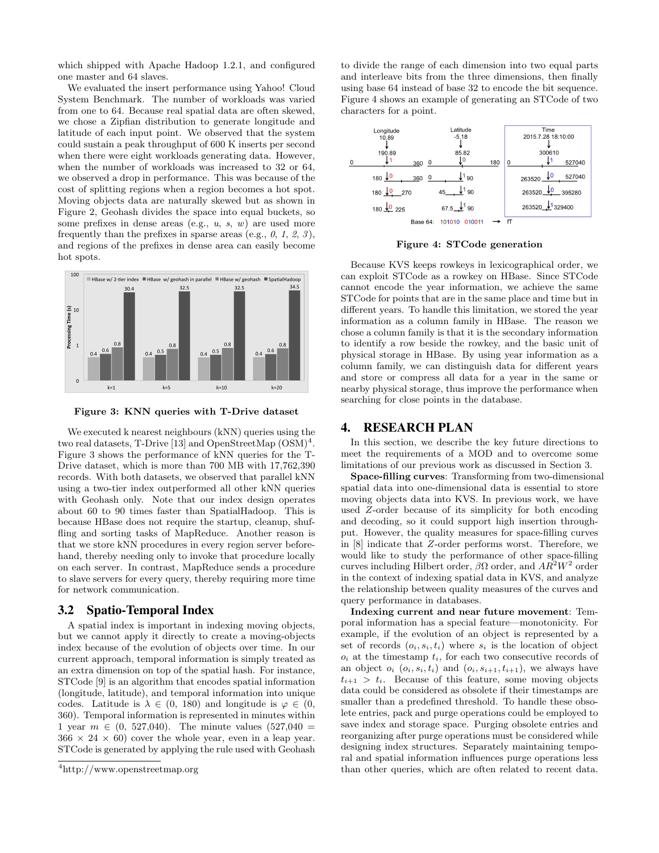which shipped with Apache Hadoop 1.2.1, and configured one master and 64 slaves.

We evaluated the insert performance using Yahoo! Cloud System Benchmark. The number of workloads was varied from one to 64. Because real spatial data are often skewed, we chose a Zipfian distribution to generate longitude and latitude of each input point. We observed that the system could sustain a peak throughput of 600 K inserts per second when there were eight workloads generating data. However, when the number of workloads was increased to 32 or 64, we observed a drop in performance. This was because of the cost of splitting regions when a region becomes a hot spot. Moving objects data are naturally skewed but as shown in Figure 2, Geohash divides the space into equal buckets, so some prefixes in dense areas (e.g.,  $u$ ,  $s$ ,  $w$ ) are used more frequently than the prefixes in sparse areas (e.g.,  $\theta$ ,  $1$ ,  $\theta$ ,  $3$ ), and regions of the prefixes in dense area can easily become hot spots.



Figure 3: KNN queries with T-Drive dataset

We executed k nearest neighbours (kNN) queries using the two real datasets, T-Drive [13] and OpenStreetMap  $(OSM)^4$ . Figure 3 shows the performance of kNN queries for the T-Drive dataset, which is more than 700 MB with 17,762,390 records. With both datasets, we observed that parallel kNN using a two-tier index outperformed all other kNN queries with Geohash only. Note that our index design operates about 60 to 90 times faster than SpatialHadoop. This is because HBase does not require the startup, cleanup, shuffling and sorting tasks of MapReduce. Another reason is that we store kNN procedures in every region server beforehand, thereby needing only to invoke that procedure locally on each server. In contrast, MapReduce sends a procedure to slave servers for every query, thereby requiring more time for network communication.

## 3.2 Spatio-Temporal Index

A spatial index is important in indexing moving objects, but we cannot apply it directly to create a moving-objects index because of the evolution of objects over time. In our current approach, temporal information is simply treated as an extra dimension on top of the spatial hash. For instance, STCode [9] is an algorithm that encodes spatial information (longitude, latitude), and temporal information into unique codes. Latitude is  $\lambda \in (0, 180)$  and longitude is  $\varphi \in (0, 180)$ 360). Temporal information is represented in minutes within 1 year  $m \in (0, 527,040)$ . The minute values  $(527,040)$  =  $366 \times 24 \times 60$  cover the whole year, even in a leap year. STCode is generated by applying the rule used with Geohash to divide the range of each dimension into two equal parts and interleave bits from the three dimensions, then finally using base 64 instead of base 32 to encode the bit sequence. Figure 4 shows an example of generating an STCode of two characters for a point.



Figure 4: STCode generation

Because KVS keeps rowkeys in lexicographical order, we can exploit STCode as a rowkey on HBase. Since STCode cannot encode the year information, we achieve the same STCode for points that are in the same place and time but in different years. To handle this limitation, we stored the year information as a column family in HBase. The reason we chose a column family is that it is the secondary information to identify a row beside the rowkey, and the basic unit of physical storage in HBase. By using year information as a column family, we can distinguish data for different years and store or compress all data for a year in the same or nearby physical storage, thus improve the performance when searching for close points in the database.

## 4. RESEARCH PLAN

In this section, we describe the key future directions to meet the requirements of a MOD and to overcome some limitations of our previous work as discussed in Section 3.

Space-filling curves: Transforming from two-dimensional spatial data into one-dimensional data is essential to store moving objects data into KVS. In previous work, we have used Z-order because of its simplicity for both encoding and decoding, so it could support high insertion throughput. However, the quality measures for space-filling curves in [8] indicate that Z-order performs worst. Therefore, we would like to study the performance of other space-filling curves including Hilbert order,  $\beta\Omega$  order, and  $AR^2W^2$  order in the context of indexing spatial data in KVS, and analyze the relationship between quality measures of the curves and query performance in databases.

Indexing current and near future movement: Temporal information has a special feature—monotonicity. For example, if the evolution of an object is represented by a set of records  $(o_i, s_i, t_i)$  where  $s_i$  is the location of object  $o_i$  at the timestamp  $t_i$ , for each two consecutive records of an object  $o_i$   $(o_i, s_i, t_i)$  and  $(o_i, s_{i+1}, t_{i+1})$ , we always have  $t_{i+1} > t_i$ . Because of this feature, some moving objects data could be considered as obsolete if their timestamps are smaller than a predefined threshold. To handle these obsolete entries, pack and purge operations could be employed to save index and storage space. Purging obsolete entries and reorganizing after purge operations must be considered while designing index structures. Separately maintaining temporal and spatial information influences purge operations less than other queries, which are often related to recent data.

<sup>4</sup>http://www.openstreetmap.org